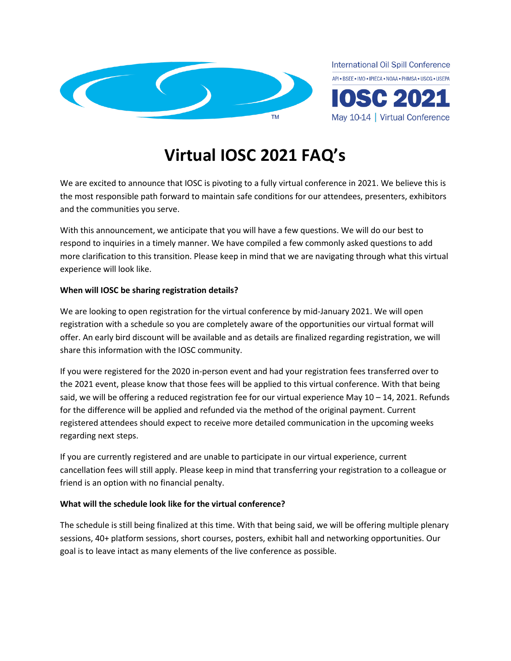



# **Virtual IOSC 2021 FAQ's**

We are excited to announce that IOSC is pivoting to a fully virtual conference in 2021. We believe this is the most responsible path forward to maintain safe conditions for our attendees, presenters, exhibitors and the communities you serve.

With this announcement, we anticipate that you will have a few questions. We will do our best to respond to inquiries in a timely manner. We have compiled a few commonly asked questions to add more clarification to this transition. Please keep in mind that we are navigating through what this virtual experience will look like.

## **When will IOSC be sharing registration details?**

We are looking to open registration for the virtual conference by mid-January 2021. We will open registration with a schedule so you are completely aware of the opportunities our virtual format will offer. An early bird discount will be available and as details are finalized regarding registration, we will share this information with the IOSC community.

If you were registered for the 2020 in-person event and had your registration fees transferred over to the 2021 event, please know that those fees will be applied to this virtual conference. With that being said, we will be offering a reduced registration fee for our virtual experience May  $10 - 14$ , 2021. Refunds for the difference will be applied and refunded via the method of the original payment. Current registered attendees should expect to receive more detailed communication in the upcoming weeks regarding next steps.

If you are currently registered and are unable to participate in our virtual experience, current cancellation fees will still apply. Please keep in mind that transferring your registration to a colleague or friend is an option with no financial penalty.

#### **What will the schedule look like for the virtual conference?**

The schedule is still being finalized at this time. With that being said, we will be offering multiple plenary sessions, 40+ platform sessions, short courses, posters, exhibit hall and networking opportunities. Our goal is to leave intact as many elements of the live conference as possible.